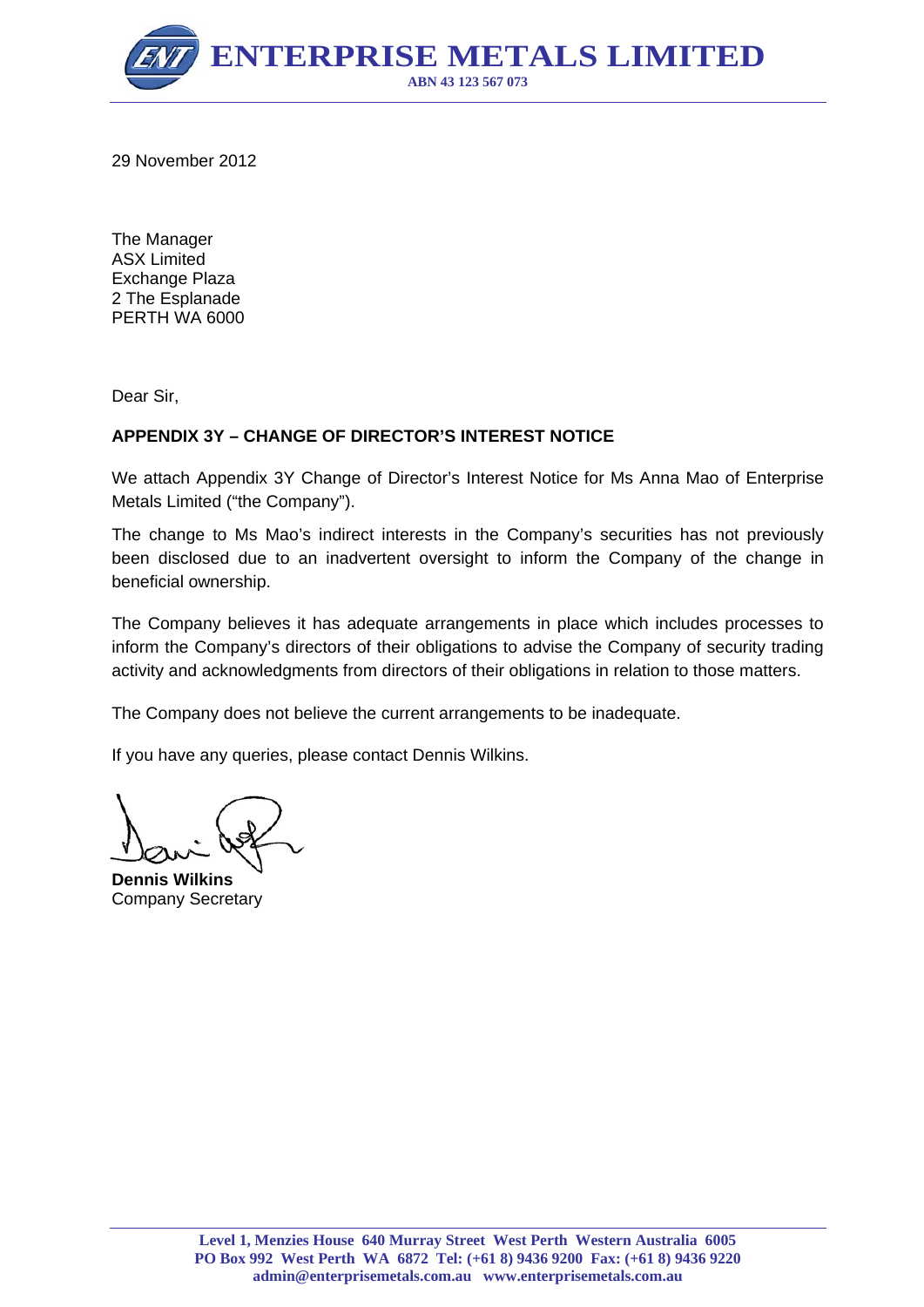

29 November 2012

The Manager ASX Limited Exchange Plaza 2 The Esplanade PERTH WA 6000

Dear Sir,

### **APPENDIX 3Y – CHANGE OF DIRECTOR'S INTEREST NOTICE**

We attach Appendix 3Y Change of Director's Interest Notice for Ms Anna Mao of Enterprise Metals Limited ("the Company").

The change to Ms Mao's indirect interests in the Company's securities has not previously been disclosed due to an inadvertent oversight to inform the Company of the change in beneficial ownership.

The Company believes it has adequate arrangements in place which includes processes to inform the Company's directors of their obligations to advise the Company of security trading activity and acknowledgments from directors of their obligations in relation to those matters.

The Company does not believe the current arrangements to be inadequate.

If you have any queries, please contact Dennis Wilkins.

**Dennis Wilkins**  Company Secretary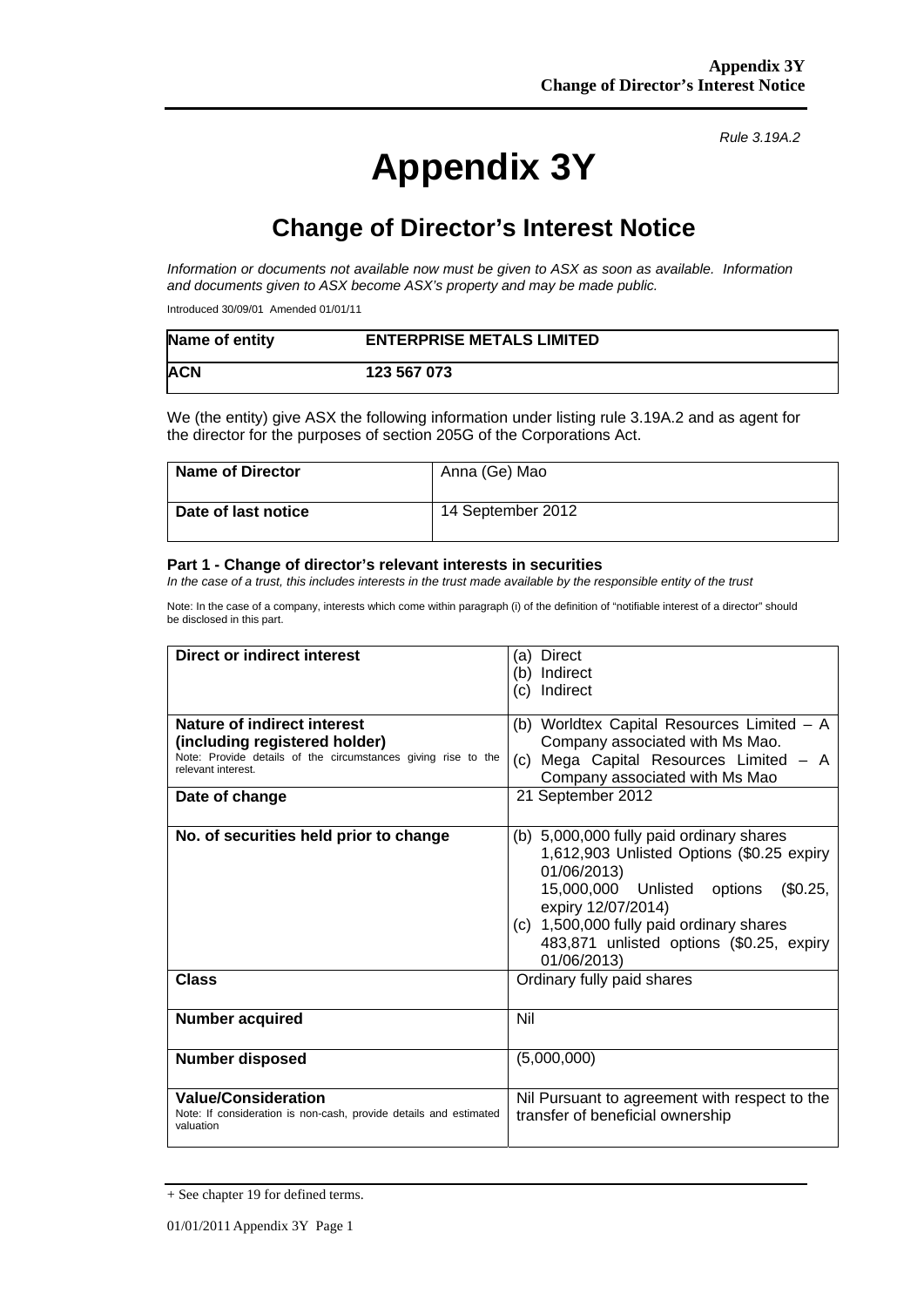# **Appendix 3Y**

*Rule 3.19A.2*

# **Change of Director's Interest Notice**

*Information or documents not available now must be given to ASX as soon as available. Information and documents given to ASX become ASX's property and may be made public.* 

Introduced 30/09/01 Amended 01/01/11

| Name of entity | <b>ENTERPRISE METALS LIMITED</b> |
|----------------|----------------------------------|
| <b>ACN</b>     | 123 567 073                      |

We (the entity) give ASX the following information under listing rule 3.19A.2 and as agent for the director for the purposes of section 205G of the Corporations Act.

| <b>Name of Director</b> | Anna (Ge) Mao     |
|-------------------------|-------------------|
| Date of last notice     | 14 September 2012 |

#### **Part 1 - Change of director's relevant interests in securities**

In the case of a trust, this includes interests in the trust made available by the responsible entity of the trust

Note: In the case of a company, interests which come within paragraph (i) of the definition of "notifiable interest of a director" should be disclosed in this part.

| <b>Direct or indirect interest</b>                                                                                                                                    | (a) Direct<br>(b) Indirect<br>(c) Indirect                                                                                                                                                                                                                                   |  |
|-----------------------------------------------------------------------------------------------------------------------------------------------------------------------|------------------------------------------------------------------------------------------------------------------------------------------------------------------------------------------------------------------------------------------------------------------------------|--|
| Nature of indirect interest<br>(including registered holder)<br>Note: Provide details of the circumstances giving rise to the<br>relevant interest.<br>Date of change | (b) Worldtex Capital Resources Limited - A<br>Company associated with Ms Mao.<br>Mega Capital Resources Limited - A<br>(C)<br>Company associated with Ms Mao<br>21 September 2012                                                                                            |  |
| No. of securities held prior to change                                                                                                                                | (b) 5,000,000 fully paid ordinary shares<br>1,612,903 Unlisted Options (\$0.25 expiry<br>01/06/2013)<br>15,000,000 Unlisted options<br>(\$0.25,<br>expiry 12/07/2014)<br>(c) 1,500,000 fully paid ordinary shares<br>483,871 unlisted options (\$0.25, expiry<br>01/06/2013) |  |
| <b>Class</b>                                                                                                                                                          | Ordinary fully paid shares                                                                                                                                                                                                                                                   |  |
| <b>Number acquired</b>                                                                                                                                                | Nil                                                                                                                                                                                                                                                                          |  |
| <b>Number disposed</b>                                                                                                                                                | (5,000,000)                                                                                                                                                                                                                                                                  |  |
| <b>Value/Consideration</b><br>Note: If consideration is non-cash, provide details and estimated<br>valuation                                                          | Nil Pursuant to agreement with respect to the<br>transfer of beneficial ownership                                                                                                                                                                                            |  |

<sup>+</sup> See chapter 19 for defined terms.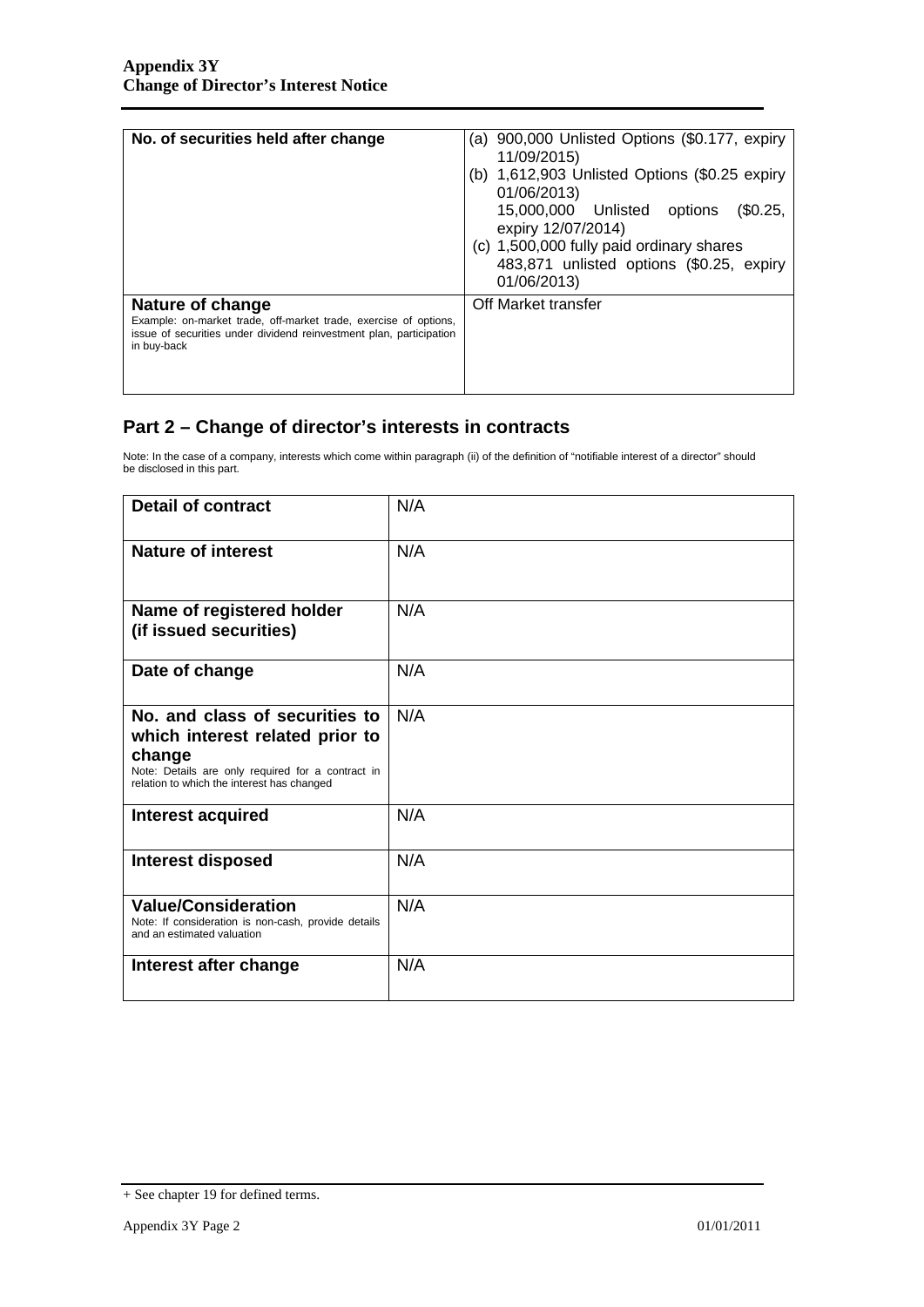| No. of securities held after change                                                                                                                                        | (a) 900,000 Unlisted Options (\$0.177, expiry<br>11/09/2015)<br>(b) $1,612,903$ Unlisted Options (\$0.25 expiry<br>01/06/2013)<br>15,000,000 Unlisted<br>(\$0.25,<br>options<br>expiry 12/07/2014)<br>(c) 1,500,000 fully paid ordinary shares<br>483,871 unlisted options (\$0.25, expiry<br>01/06/2013) |
|----------------------------------------------------------------------------------------------------------------------------------------------------------------------------|-----------------------------------------------------------------------------------------------------------------------------------------------------------------------------------------------------------------------------------------------------------------------------------------------------------|
| Nature of change<br>Example: on-market trade, off-market trade, exercise of options,<br>issue of securities under dividend reinvestment plan, participation<br>in buy-back | Off Market transfer                                                                                                                                                                                                                                                                                       |

# **Part 2 – Change of director's interests in contracts**

Note: In the case of a company, interests which come within paragraph (ii) of the definition of "notifiable interest of a director" should be disclosed in this part.

| <b>Detail of contract</b>                                                                                                                                                      | N/A |
|--------------------------------------------------------------------------------------------------------------------------------------------------------------------------------|-----|
| <b>Nature of interest</b>                                                                                                                                                      | N/A |
| Name of registered holder<br>(if issued securities)                                                                                                                            | N/A |
| Date of change                                                                                                                                                                 | N/A |
| No. and class of securities to<br>which interest related prior to<br>change<br>Note: Details are only required for a contract in<br>relation to which the interest has changed | N/A |
| Interest acquired                                                                                                                                                              | N/A |
| <b>Interest disposed</b>                                                                                                                                                       | N/A |
| <b>Value/Consideration</b><br>Note: If consideration is non-cash, provide details<br>and an estimated valuation                                                                | N/A |
| Interest after change                                                                                                                                                          | N/A |

<sup>+</sup> See chapter 19 for defined terms.